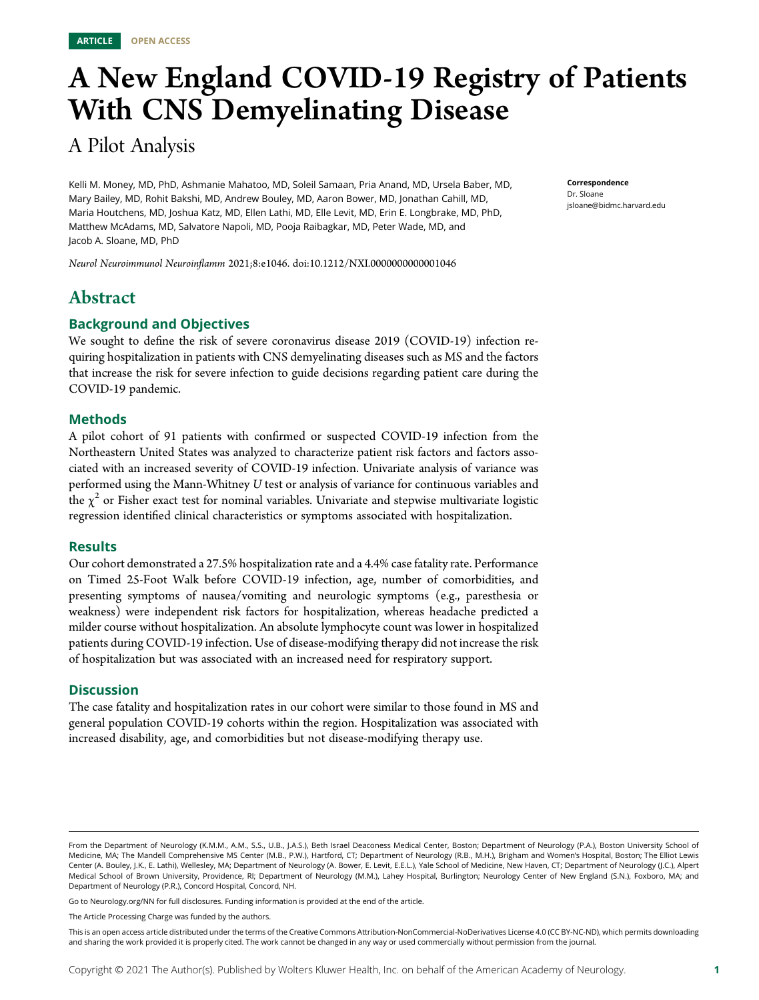# A New England COVID-19 Registry of Patients With CNS Demyelinating Disease

# A Pilot Analysis

Kelli M. Money, MD, PhD, Ashmanie Mahatoo, MD, Soleil Samaan, Pria Anand, MD, Ursela Baber, MD, Mary Bailey, MD, Rohit Bakshi, MD, Andrew Bouley, MD, Aaron Bower, MD, Jonathan Cahill, MD, Maria Houtchens, MD, Joshua Katz, MD, Ellen Lathi, MD, Elle Levit, MD, Erin E. Longbrake, MD, PhD, Matthew McAdams, MD, Salvatore Napoli, MD, Pooja Raibagkar, MD, Peter Wade, MD, and Jacob A. Sloane, MD, PhD

Neurol Neuroimmunol Neuroinflamm 2021;8:e1046. doi[:10.1212/NXI.0000000000001046](http://dx.doi.org/10.1212/NXI.0000000000001046)

# Abstract

#### Background and Objectives

We sought to define the risk of severe coronavirus disease 2019 (COVID-19) infection requiring hospitalization in patients with CNS demyelinating diseases such as MS and the factors that increase the risk for severe infection to guide decisions regarding patient care during the COVID-19 pandemic.

#### Methods

A pilot cohort of 91 patients with confirmed or suspected COVID-19 infection from the Northeastern United States was analyzed to characterize patient risk factors and factors associated with an increased severity of COVID-19 infection. Univariate analysis of variance was performed using the Mann-Whitney U test or analysis of variance for continuous variables and the  $\chi^2$  or Fisher exact test for nominal variables. Univariate and stepwise multivariate logistic regression identified clinical characteristics or symptoms associated with hospitalization.

#### **Results**

Our cohort demonstrated a 27.5% hospitalization rate and a 4.4% case fatality rate. Performance on Timed 25-Foot Walk before COVID-19 infection, age, number of comorbidities, and presenting symptoms of nausea/vomiting and neurologic symptoms (e.g., paresthesia or weakness) were independent risk factors for hospitalization, whereas headache predicted a milder course without hospitalization. An absolute lymphocyte count was lower in hospitalized patients during COVID-19 infection. Use of disease-modifying therapy did not increase the risk of hospitalization but was associated with an increased need for respiratory support.

#### **Discussion**

The case fatality and hospitalization rates in our cohort were similar to those found in MS and general population COVID-19 cohorts within the region. Hospitalization was associated with increased disability, age, and comorbidities but not disease-modifying therapy use.

Go to [Neurology.org/NN](https://nn.neurology.org/content/8/5/e1046/tab-article-info) for full disclosures. Funding information is provided at the end of the article.

The Article Processing Charge was funded by the authors.

This is an open access article distributed under the terms of the [Creative Commons Attribution-NonCommercial-NoDerivatives License 4.0 \(CC BY-NC-ND\),](http://creativecommons.org/licenses/by-nc-nd/4.0/) which permits downloading and sharing the work provided it is properly cited. The work cannot be changed in any way or used commercially without permission from the journal.

Correspondence Dr. Sloane [jsloane@bidmc.harvard.edu](mailto:jsloane@bidmc.harvard.edu)

From the Department of Neurology (K.M.M., A.M., S.S., U.B., J.A.S.), Beth Israel Deaconess Medical Center, Boston; Department of Neurology (P.A.), Boston University School of Medicine, MA; The Mandell Comprehensive MS Center (M.B., P.W.), Hartford, CT; Department of Neurology (R.B., M.H.), Brigham and Women's Hospital, Boston; The Elliot Lewis Center (A. Bouley, J.K., E. Lathi), Wellesley, MA; Department of Neurology (A. Bower, E. Levit, E.E.L.), Yale School of Medicine, New Haven, CT; Department of Neurology (J.C.), Alpert Medical School of Brown University, Providence, RI; Department of Neurology (M.M.), Lahey Hospital, Burlington; Neurology Center of New England (S.N.), Foxboro, MA; and Department of Neurology (P.R.), Concord Hospital, Concord, NH.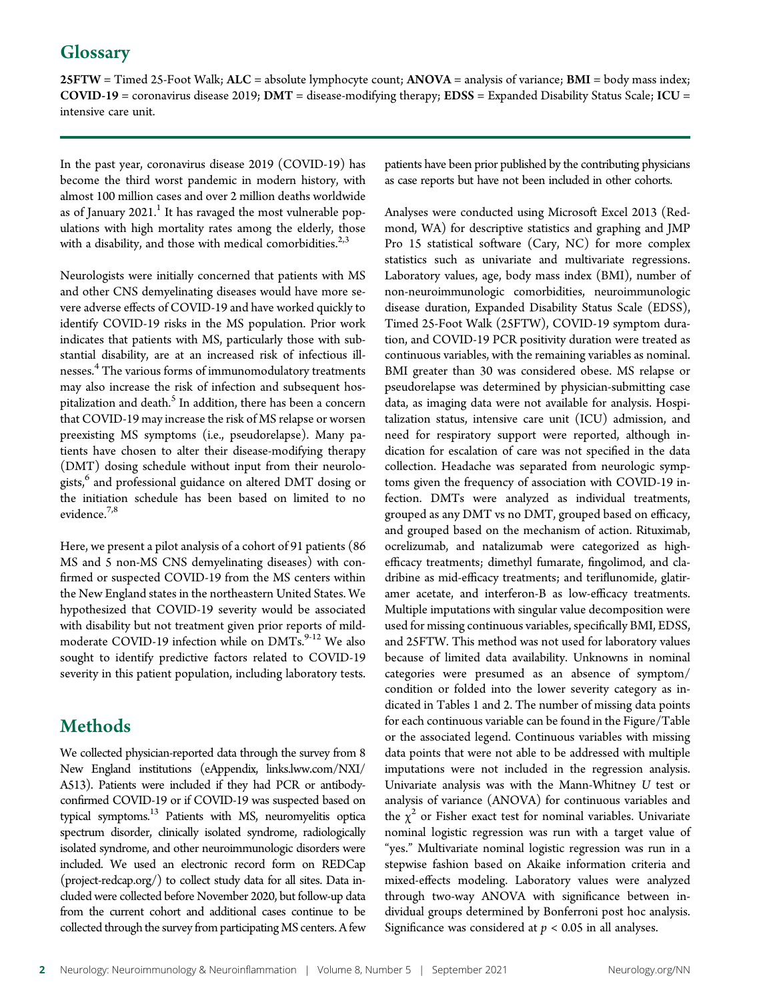# **Glossary**

25FTW = Timed 25-Foot Walk; ALC = absolute lymphocyte count; ANOVA = analysis of variance; BMI = body mass index;  $COVID-19 =$  coronavirus disease 2019;  $DMT =$  disease-modifying therapy;  $EDSS =$  Expanded Disability Status Scale;  $ICU =$ intensive care unit.

In the past year, coronavirus disease 2019 (COVID-19) has become the third worst pandemic in modern history, with almost 100 million cases and over 2 million deaths worldwide as of January  $2021$ .<sup>1</sup> It has ravaged the most vulnerable populations with high mortality rates among the elderly, those with a disability, and those with medical comorbidities. $2,3$ 

Neurologists were initially concerned that patients with MS and other CNS demyelinating diseases would have more severe adverse effects of COVID-19 and have worked quickly to identify COVID-19 risks in the MS population. Prior work indicates that patients with MS, particularly those with substantial disability, are at an increased risk of infectious illnesses.<sup>4</sup> The various forms of immunomodulatory treatments may also increase the risk of infection and subsequent hospitalization and death.<sup>5</sup> In addition, there has been a concern that COVID-19 may increase the risk of MS relapse or worsen preexisting MS symptoms (i.e., pseudorelapse). Many patients have chosen to alter their disease-modifying therapy (DMT) dosing schedule without input from their neurologists,<sup>6</sup> and professional guidance on altered DMT dosing or the initiation schedule has been based on limited to no evidence.7,8

Here, we present a pilot analysis of a cohort of 91 patients (86 MS and 5 non-MS CNS demyelinating diseases) with confirmed or suspected COVID-19 from the MS centers within the New England states in the northeastern United States. We hypothesized that COVID-19 severity would be associated with disability but not treatment given prior reports of mildmoderate COVID-19 infection while on DMTs.<sup>9-12</sup> We also sought to identify predictive factors related to COVID-19 severity in this patient population, including laboratory tests.

# Methods

We collected physician-reported data through the survey from 8 New England institutions (eAppendix, [links.lww.com/NXI/](http://links.lww.com/NXI/A513) [A513](http://links.lww.com/NXI/A513)). Patients were included if they had PCR or antibodyconfirmed COVID-19 or if COVID-19 was suspected based on typical symptoms.<sup>13</sup> Patients with MS, neuromyelitis optica spectrum disorder, clinically isolated syndrome, radiologically isolated syndrome, and other neuroimmunologic disorders were included. We used an electronic record form on REDCap [\(project-redcap.org/\)](https://www.project-redcap.org/) to collect study data for all sites. Data included were collected before November 2020, but follow-up data from the current cohort and additional cases continue to be collected through the survey from participating MS centers. A few patients have been prior published by the contributing physicians as case reports but have not been included in other cohorts.

Analyses were conducted using Microsoft Excel 2013 (Redmond, WA) for descriptive statistics and graphing and JMP Pro 15 statistical software (Cary, NC) for more complex statistics such as univariate and multivariate regressions. Laboratory values, age, body mass index (BMI), number of non-neuroimmunologic comorbidities, neuroimmunologic disease duration, Expanded Disability Status Scale (EDSS), Timed 25-Foot Walk (25FTW), COVID-19 symptom duration, and COVID-19 PCR positivity duration were treated as continuous variables, with the remaining variables as nominal. BMI greater than 30 was considered obese. MS relapse or pseudorelapse was determined by physician-submitting case data, as imaging data were not available for analysis. Hospitalization status, intensive care unit (ICU) admission, and need for respiratory support were reported, although indication for escalation of care was not specified in the data collection. Headache was separated from neurologic symptoms given the frequency of association with COVID-19 infection. DMTs were analyzed as individual treatments, grouped as any DMT vs no DMT, grouped based on efficacy, and grouped based on the mechanism of action. Rituximab, ocrelizumab, and natalizumab were categorized as highefficacy treatments; dimethyl fumarate, fingolimod, and cladribine as mid-efficacy treatments; and teriflunomide, glatiramer acetate, and interferon-B as low-efficacy treatments. Multiple imputations with singular value decomposition were used for missing continuous variables, specifically BMI, EDSS, and 25FTW. This method was not used for laboratory values because of limited data availability. Unknowns in nominal categories were presumed as an absence of symptom/ condition or folded into the lower severity category as indicated in Tables 1 and 2. The number of missing data points for each continuous variable can be found in the Figure/Table or the associated legend. Continuous variables with missing data points that were not able to be addressed with multiple imputations were not included in the regression analysis. Univariate analysis was with the Mann-Whitney U test or analysis of variance (ANOVA) for continuous variables and the  $\chi^2$  or Fisher exact test for nominal variables. Univariate nominal logistic regression was run with a target value of "yes." Multivariate nominal logistic regression was run in a stepwise fashion based on Akaike information criteria and mixed-effects modeling. Laboratory values were analyzed through two-way ANOVA with significance between individual groups determined by Bonferroni post hoc analysis. Significance was considered at  $p < 0.05$  in all analyses.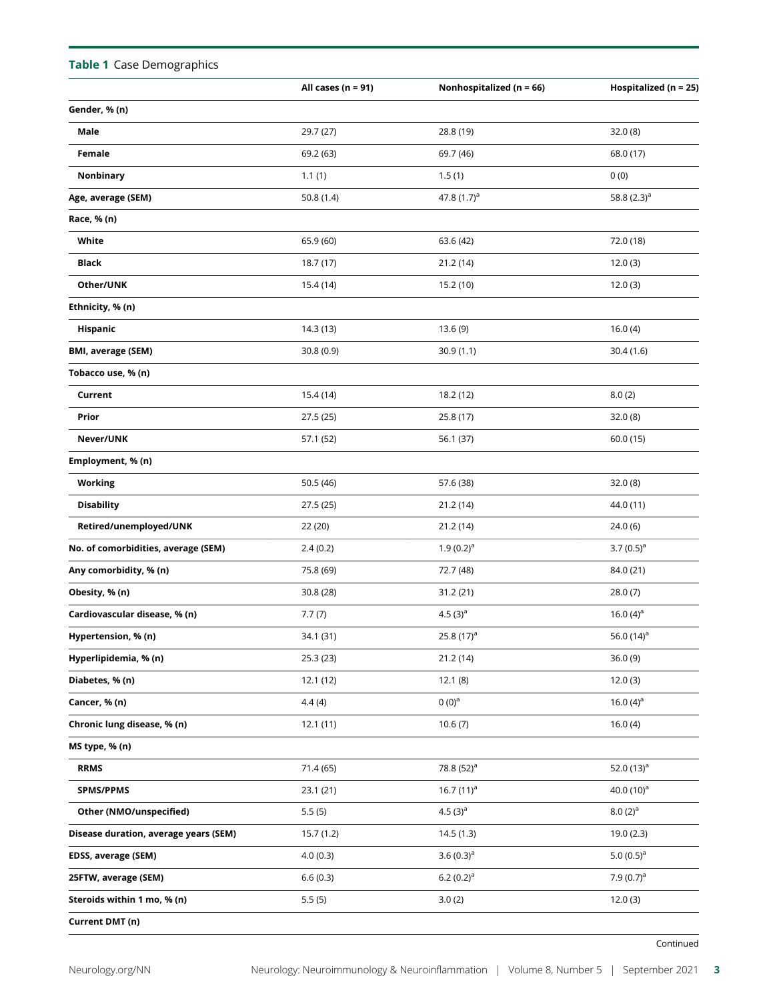| Table 1 Case Demographics             |                        |                              |                           |
|---------------------------------------|------------------------|------------------------------|---------------------------|
|                                       | All cases ( $n = 91$ ) | Nonhospitalized ( $n = 66$ ) | Hospitalized ( $n = 25$ ) |
| Gender, % (n)                         |                        |                              |                           |
| Male                                  | 29.7 (27)              | 28.8 (19)                    | 32.0(8)                   |
| Female                                | 69.2 (63)              | 69.7 (46)                    | 68.0 (17)                 |
| Nonbinary                             | 1.1(1)                 | 1.5(1)                       | 0(0)                      |
| Age, average (SEM)                    | 50.8 $(1.4)$           | 47.8 $(1.7)^a$               | 58.8 $(2.3)^a$            |
| Race, % (n)                           |                        |                              |                           |
| White                                 | 65.9 (60)              | 63.6 (42)                    | 72.0 (18)                 |
| <b>Black</b>                          | 18.7 (17)              | 21.2(14)                     | 12.0(3)                   |
| Other/UNK                             | 15.4 (14)              | 15.2 (10)                    | 12.0(3)                   |
| Ethnicity, % (n)                      |                        |                              |                           |
| Hispanic                              | 14.3 (13)              | 13.6(9)                      | 16.0(4)                   |
| <b>BMI, average (SEM)</b>             | 30.8(0.9)              | 30.9(1.1)                    | 30.4(1.6)                 |
| Tobacco use, % (n)                    |                        |                              |                           |
| Current                               | 15.4 (14)              | 18.2 (12)                    | 8.0(2)                    |
| Prior                                 | 27.5 (25)              | 25.8 (17)                    | 32.0(8)                   |
| Never/UNK                             | 57.1 (52)              | 56.1 (37)                    | 60.0 (15)                 |
| Employment, % (n)                     |                        |                              |                           |
| <b>Working</b>                        | 50.5 (46)              | 57.6 (38)                    | 32.0(8)                   |
| <b>Disability</b>                     | 27.5 (25)              | 21.2(14)                     | 44.0 (11)                 |
| Retired/unemployed/UNK                | 22 (20)                | 21.2(14)                     | 24.0 (6)                  |
| No. of comorbidities, average (SEM)   | 2.4(0.2)               | $1.9(0.2)^a$                 | 3.7 $(0.5)^a$             |
| Any comorbidity, % (n)                | 75.8 (69)              | 72.7 (48)                    | 84.0 (21)                 |
| Obesity, % (n)                        | 30.8 (28)              | 31.2 (21)                    | 28.0(7)                   |
| Cardiovascular disease, % (n)         | 7.7(7)                 | 4.5 $(3)^a$                  | 16.0 $(4)^a$              |
| Hypertension, % (n)                   | 34.1 (31)              | 25.8 $(17)^a$                | 56.0 $(14)^d$             |
| Hyperlipidemia, % (n)                 | 25.3(23)               | 21.2(14)                     | 36.0(9)                   |
| Diabetes, % (n)                       | 12.1(12)               | 12.1(8)                      | 12.0(3)                   |
| Cancer, % (n)                         | 4.4(4)                 | $0(0)^a$                     | 16.0 $(4)^a$              |
| Chronic lung disease, % (n)           | 12.1(11)               | 10.6(7)                      | 16.0(4)                   |
| MS type, % (n)                        |                        |                              |                           |
| <b>RRMS</b>                           | 71.4 (65)              | 78.8 (52) <sup>a</sup>       | 52.0 $(13)^a$             |
| <b>SPMS/PPMS</b>                      | 23.1(21)               | 16.7 $(11)^a$                | 40.0 $(10)^a$             |
| Other (NMO/unspecified)               | 5.5(5)                 | 4.5 $(3)^a$                  | $(2)^a$                   |
| Disease duration, average years (SEM) | 15.7(1.2)              | 14.5(1.3)                    | 19.0(2.3)                 |
| EDSS, average (SEM)                   | 4.0(0.3)               | 3.6 $(0.3)^a$                | 5.0 $(0.5)^a$             |
| 25FTW, average (SEM)                  | 6.6(0.3)               | 6.2 $(0.2)^a$                | 7.9 $(0.7)^a$             |
| Steroids within 1 mo, % (n)           | 5.5(5)                 | 3.0(2)                       | 12.0(3)                   |
| Current DMT (n)                       |                        |                              |                           |

#### Continued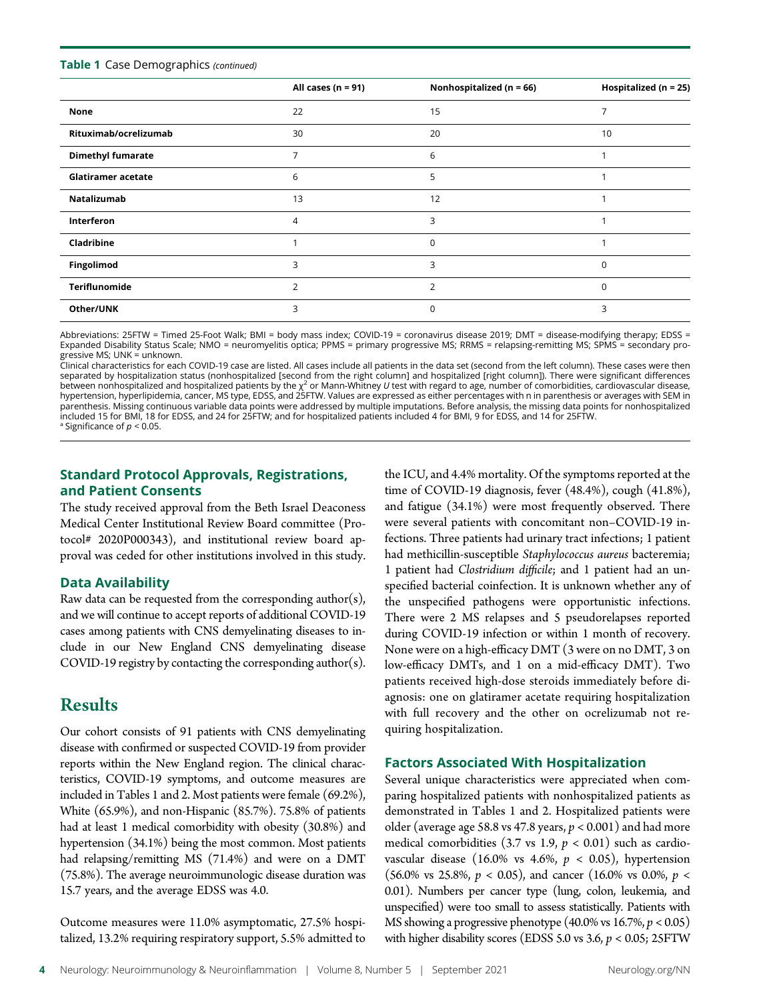#### Table 1 Case Demographics (continued)

|                           | All cases ( $n = 91$ ) | Nonhospitalized ( $n = 66$ ) | Hospitalized ( $n = 25$ ) |
|---------------------------|------------------------|------------------------------|---------------------------|
| None                      | 22                     | 15                           |                           |
| Rituximab/ocrelizumab     | 30                     | 20                           | 10                        |
| <b>Dimethyl fumarate</b>  | 7                      | 6                            |                           |
| <b>Glatiramer acetate</b> | 6                      | 5                            |                           |
| Natalizumab               | 13                     | 12                           |                           |
| <b>Interferon</b>         | 4                      | 3                            |                           |
| Cladribine                |                        | 0                            |                           |
| Fingolimod                | 3                      | 3                            | $\Omega$                  |
| Teriflunomide             | 2                      | 2                            | $\Omega$                  |
| Other/UNK                 | 3                      | 0                            | 3                         |

Abbreviations: 25FTW = Timed 25-Foot Walk; BMI = body mass index; COVID-19 = coronavirus disease 2019; DMT = disease-modifying therapy; EDSS = Expanded Disability Status Scale; NMO = neuromyelitis optica; PPMS = primary progressive MS; RRMS = relapsing-remitting MS; SPMS = secondary progressive MS; UNK = unknown.

Clinical characteristics for each COVID-19 case are listed. All cases include all patients in the data set (second from the left column). These cases were then separated by hospitalization status (nonhospitalized [second from the right column] and hospitalized [right column]). There were significant differences between nonhospitalized and hospitalized patients by the  $\chi^2$  or Mann-Whitney U test with regard to age, number of comorbidities, cardiovascular disease, hypertension, hyperlipidemia, cancer, MS type, EDSS, and 25FTW. Values are expressed as either percentages with n in parenthesis or averages with SEM in parenthesis. Missing continuous variable data points were addressed by multiple imputations. Before analysis, the missing data points for nonhospitalized included 15 for BMI, 18 for EDSS, and 24 for 25FTW; and for hospitalized patients included 4 for BMI, 9 for EDSS, and 14 for 25FTW. <sup>a</sup> Significance of  $p < 0.05$ .

## Standard Protocol Approvals, Registrations, and Patient Consents

The study received approval from the Beth Israel Deaconess Medical Center Institutional Review Board committee (Protocol# 2020P000343), and institutional review board approval was ceded for other institutions involved in this study.

#### Data Availability

Raw data can be requested from the corresponding author(s), and we will continue to accept reports of additional COVID-19 cases among patients with CNS demyelinating diseases to include in our New England CNS demyelinating disease COVID-19 registry by contacting the corresponding author(s).

# Results

Our cohort consists of 91 patients with CNS demyelinating disease with confirmed or suspected COVID-19 from provider reports within the New England region. The clinical characteristics, COVID-19 symptoms, and outcome measures are included in Tables 1 and 2. Most patients were female (69.2%), White (65.9%), and non-Hispanic (85.7%). 75.8% of patients had at least 1 medical comorbidity with obesity (30.8%) and hypertension (34.1%) being the most common. Most patients had relapsing/remitting MS (71.4%) and were on a DMT (75.8%). The average neuroimmunologic disease duration was 15.7 years, and the average EDSS was 4.0.

Outcome measures were 11.0% asymptomatic, 27.5% hospitalized, 13.2% requiring respiratory support, 5.5% admitted to the ICU, and 4.4% mortality. Of the symptoms reported at the time of COVID-19 diagnosis, fever (48.4%), cough (41.8%), and fatigue (34.1%) were most frequently observed. There were several patients with concomitant non–COVID-19 infections. Three patients had urinary tract infections; 1 patient had methicillin-susceptible Staphylococcus aureus bacteremia; 1 patient had Clostridium difficile; and 1 patient had an unspecified bacterial coinfection. It is unknown whether any of the unspecified pathogens were opportunistic infections. There were 2 MS relapses and 5 pseudorelapses reported during COVID-19 infection or within 1 month of recovery. None were on a high-efficacy DMT (3 were on no DMT, 3 on low-efficacy DMTs, and 1 on a mid-efficacy DMT). Two patients received high-dose steroids immediately before diagnosis: one on glatiramer acetate requiring hospitalization with full recovery and the other on ocrelizumab not requiring hospitalization.

#### Factors Associated With Hospitalization

Several unique characteristics were appreciated when comparing hospitalized patients with nonhospitalized patients as demonstrated in Tables 1 and 2. Hospitalized patients were older (average age 58.8 vs 47.8 years,  $p < 0.001$ ) and had more medical comorbidities (3.7 vs 1.9,  $p < 0.01$ ) such as cardiovascular disease (16.0% vs 4.6%,  $p < 0.05$ ), hypertension (56.0% vs 25.8%,  $p < 0.05$ ), and cancer (16.0% vs 0.0%,  $p <$ 0.01). Numbers per cancer type (lung, colon, leukemia, and unspecified) were too small to assess statistically. Patients with MS showing a progressive phenotype  $(40.0\% \text{ vs } 16.7\%, p < 0.05)$ with higher disability scores (EDSS 5.0 vs 3.6,  $p < 0.05$ ; 25FTW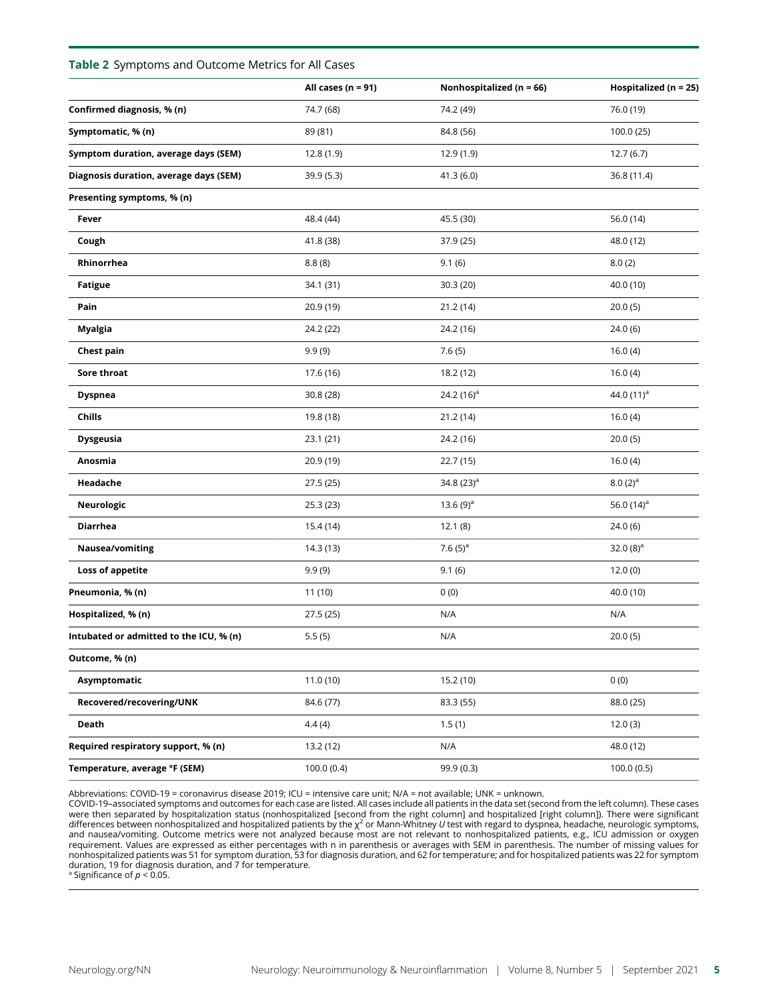#### Table 2 Symptoms and Outcome Metrics for All Cases

| All cases ( $n = 91$ ) | Nonhospitalized ( $n = 66$ ) | Hospitalized ( $n = 25$ ) |
|------------------------|------------------------------|---------------------------|
| 74.7 (68)              | 74.2 (49)                    | 76.0 (19)                 |
| 89 (81)                | 84.8 (56)                    | 100.0 (25)                |
| 12.8(1.9)              | 12.9(1.9)                    | 12.7(6.7)                 |
| 39.9 (5.3)             | 41.3 (6.0)                   | 36.8 (11.4)               |
|                        |                              |                           |
| 48.4 (44)              | 45.5 (30)                    | 56.0 (14)                 |
| 41.8 (38)              | 37.9 (25)                    | 48.0 (12)                 |
| 8.8(8)                 | 9.1(6)                       | 8.0(2)                    |
| 34.1 (31)              | 30.3 (20)                    | 40.0 (10)                 |
| 20.9 (19)              | 21.2 (14)                    | 20.0(5)                   |
| 24.2 (22)              | 24.2 (16)                    | 24.0(6)                   |
| 9.9(9)                 | 7.6(5)                       | 16.0(4)                   |
| 17.6 (16)              | 18.2 (12)                    | 16.0(4)                   |
| 30.8 (28)              | 24.2 $(16)^a$                | 44.0 $(11)^a$             |
| 19.8 (18)              | 21.2 (14)                    | 16.0(4)                   |
| 23.1 (21)              | 24.2 (16)                    | 20.0(5)                   |
| 20.9 (19)              | 22.7 (15)                    | 16.0(4)                   |
| 27.5 (25)              | 34.8 $(23)^a$                | $8.0(2)$ <sup>a</sup>     |
| 25.3(23)               | 13.6 $(9)^a$                 | 56.0 $(14)^a$             |
| 15.4(14)               | 12.1(8)                      | 24.0(6)                   |
| 14.3(13)               | 7.6 $(5)^a$                  | 32.0 $(8)^a$              |
| 9.9(9)                 | 9.1(6)                       | 12.0(0)                   |
| 11 (10)                | 0(0)                         | 40.0 (10)                 |
| 27.5 (25)              | N/A                          | N/A                       |
| 5.5(5)                 | N/A                          | 20.0(5)                   |
|                        |                              |                           |
| 11.0(10)               | 15.2 (10)                    | 0(0)                      |
| 84.6 (77)              | 83.3 (55)                    | 88.0 (25)                 |
| 4.4(4)                 | 1.5(1)                       | 12.0(3)                   |
| 13.2 (12)              | N/A                          | 48.0 (12)                 |
| 100.0(0.4)             | 99.9 (0.3)                   | 100.0(0.5)                |
|                        |                              |                           |

Abbreviations: COVID-19 = coronavirus disease 2019; ICU = intensive care unit; N/A = not available; UNK = unknown.

COVID-19–associated symptoms and outcomes for each case are listed. All cases include all patients in the data set (second from the left column). These cases were then separated by hospitalization status (nonhospitalized [second from the right column] and hospitalized [right column]). There were significant<br>differences between nonhospitalized and hospitalized patients by the χ<sup></sup> nonhospitalized patients was 51 for symptom duration, 53 for diagnosis duration, and 62 for temperature; and for hospitalized patients was 22 for symptom duration, 19 for diagnosis duration, and 7 for temperature.

<sup>a</sup> Significance of  $p < 0.05$ .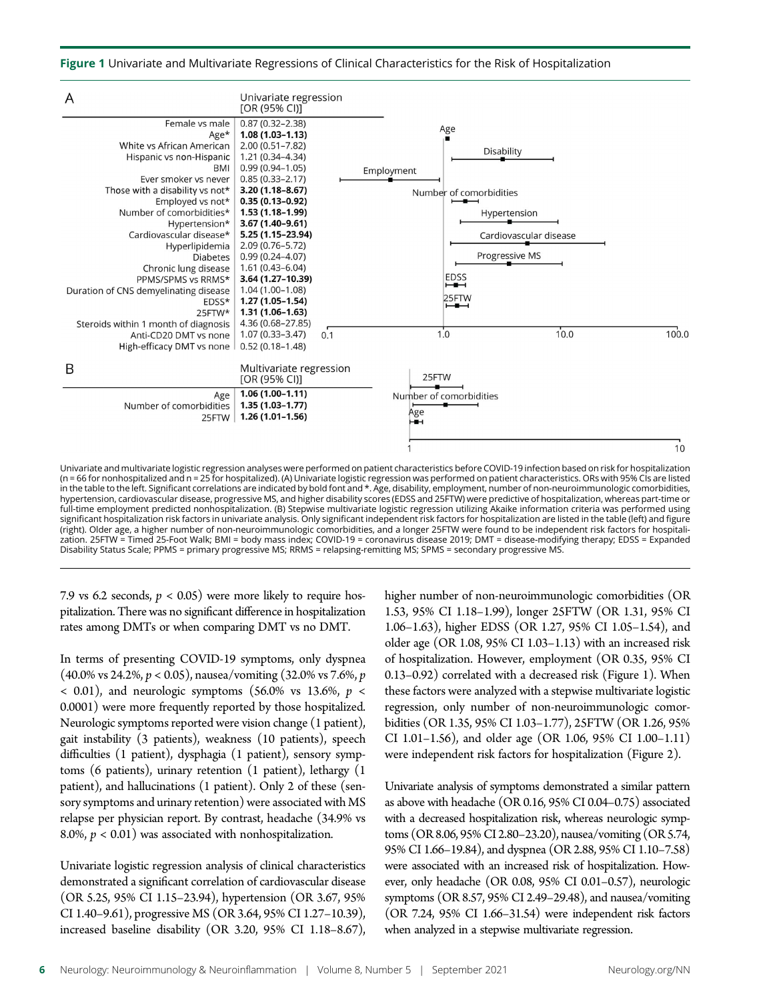Figure 1 Univariate and Multivariate Regressions of Clinical Characteristics for the Risk of Hospitalization



significant hospitalization risk factors in univariate analysis. Only significant independent risk factors for hospitalization are listed in the table (left) and figure (right). Older age, a higher number of non-neuroimmunologic comorbidities, and a longer 25FTW were found to be independent risk factors for hospitalization. 25FTW = Timed 25-Foot Walk; BMI = body mass index; COVID-19 = coronavirus disease 2019; DMT = disease-modifying therapy; EDSS = Expanded Disability Status Scale; PPMS = primary progressive MS; RRMS = relapsing-remitting MS; SPMS = secondary progressive MS.

7.9 vs 6.2 seconds,  $p < 0.05$ ) were more likely to require hospitalization. There was no significant difference in hospitalization rates among DMTs or when comparing DMT vs no DMT.

In terms of presenting COVID-19 symptoms, only dyspnea  $(40.0\% \text{ vs } 24.2\%, p < 0.05)$ , nausea/vomiting  $(32.0\% \text{ vs } 7.6\%, p$  $<$  0.01), and neurologic symptoms (56.0% vs 13.6%,  $p <$ 0.0001) were more frequently reported by those hospitalized. Neurologic symptoms reported were vision change (1 patient), gait instability (3 patients), weakness (10 patients), speech difficulties (1 patient), dysphagia (1 patient), sensory symptoms (6 patients), urinary retention (1 patient), lethargy (1 patient), and hallucinations (1 patient). Only 2 of these (sensory symptoms and urinary retention) were associated with MS relapse per physician report. By contrast, headache (34.9% vs 8.0%,  $p < 0.01$ ) was associated with nonhospitalization.

Univariate logistic regression analysis of clinical characteristics demonstrated a significant correlation of cardiovascular disease (OR 5.25, 95% CI 1.15–23.94), hypertension (OR 3.67, 95% CI 1.40–9.61), progressive MS (OR 3.64, 95% CI 1.27–10.39), increased baseline disability (OR 3.20, 95% CI 1.18–8.67),

higher number of non-neuroimmunologic comorbidities (OR 1.53, 95% CI 1.18–1.99), longer 25FTW (OR 1.31, 95% CI 1.06–1.63), higher EDSS (OR 1.27, 95% CI 1.05–1.54), and older age (OR 1.08, 95% CI 1.03–1.13) with an increased risk of hospitalization. However, employment (OR 0.35, 95% CI 0.13–0.92) correlated with a decreased risk (Figure 1). When these factors were analyzed with a stepwise multivariate logistic regression, only number of non-neuroimmunologic comorbidities (OR 1.35, 95% CI 1.03–1.77), 25FTW (OR 1.26, 95% CI 1.01–1.56), and older age (OR 1.06, 95% CI 1.00–1.11) were independent risk factors for hospitalization (Figure 2).

Univariate analysis of symptoms demonstrated a similar pattern as above with headache (OR 0.16, 95% CI 0.04–0.75) associated with a decreased hospitalization risk, whereas neurologic symptoms (OR 8.06, 95% CI 2.80–23.20), nausea/vomiting (OR 5.74, 95% CI 1.66–19.84), and dyspnea (OR 2.88, 95% CI 1.10–7.58) were associated with an increased risk of hospitalization. However, only headache (OR 0.08, 95% CI 0.01–0.57), neurologic symptoms (OR 8.57, 95% CI 2.49–29.48), and nausea/vomiting (OR 7.24, 95% CI 1.66–31.54) were independent risk factors when analyzed in a stepwise multivariate regression.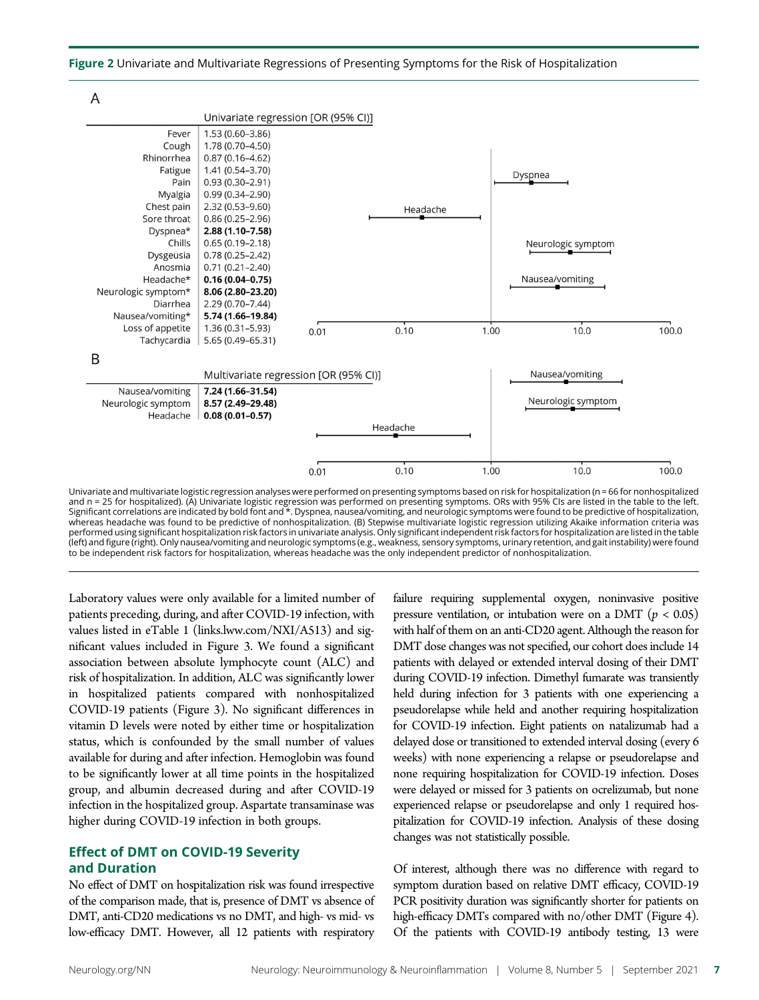Figure 2 Univariate and Multivariate Regressions of Presenting Symptoms for the Risk of Hospitalization



Univariate and multivariate logistic regression analyses were performed on presenting symptoms based on risk for hospitalization (n = 66 for nonhospitalized and n = 25 for hospitalized). (A) Univariate logistic regression was performed on presenting symptoms. ORs with 95% CIs are listed in the table to the left. Significant correlations are indicated by bold font and \*. Dyspnea, nausea/vomiting, and neurologic symptoms were found to be predictive of hospitalization, whereas headache was found to be predictive of nonhospitalization. (B) Stepwise multivariate logistic regression utilizing Akaike information criteria was performed using significant hospitalization risk factors in univariate analysis. Only significant independent risk factors for hospitalization are listed in the table (left) and figure (right). Only nausea/vomiting and neurologic symptoms (e.g., weakness, sensory symptoms, urinary retention, and gait instability) were found to be independent risk factors for hospitalization, whereas headache was the only independent predictor of nonhospitalization.

Laboratory values were only available for a limited number of patients preceding, during, and after COVID-19 infection, with values listed in eTable 1 ([links.lww.com/NXI/A513\)](http://links.lww.com/NXI/A513) and significant values included in Figure 3. We found a significant association between absolute lymphocyte count (ALC) and risk of hospitalization. In addition, ALC was significantly lower in hospitalized patients compared with nonhospitalized COVID-19 patients (Figure 3). No significant differences in vitamin D levels were noted by either time or hospitalization status, which is confounded by the small number of values available for during and after infection. Hemoglobin was found to be significantly lower at all time points in the hospitalized group, and albumin decreased during and after COVID-19 infection in the hospitalized group. Aspartate transaminase was higher during COVID-19 infection in both groups.

#### Effect of DMT on COVID-19 Severity and Duration

No effect of DMT on hospitalization risk was found irrespective of the comparison made, that is, presence of DMT vs absence of DMT, anti-CD20 medications vs no DMT, and high- vs mid- vs low-efficacy DMT. However, all 12 patients with respiratory

failure requiring supplemental oxygen, noninvasive positive pressure ventilation, or intubation were on a DMT ( $p < 0.05$ ) with half of them on an anti-CD20 agent. Although the reason for DMT dose changes was not specified, our cohort does include 14 patients with delayed or extended interval dosing of their DMT during COVID-19 infection. Dimethyl fumarate was transiently held during infection for 3 patients with one experiencing a pseudorelapse while held and another requiring hospitalization for COVID-19 infection. Eight patients on natalizumab had a delayed dose or transitioned to extended interval dosing (every 6 weeks) with none experiencing a relapse or pseudorelapse and none requiring hospitalization for COVID-19 infection. Doses were delayed or missed for 3 patients on ocrelizumab, but none experienced relapse or pseudorelapse and only 1 required hospitalization for COVID-19 infection. Analysis of these dosing changes was not statistically possible.

Of interest, although there was no difference with regard to symptom duration based on relative DMT efficacy, COVID-19 PCR positivity duration was significantly shorter for patients on high-efficacy DMTs compared with no/other DMT (Figure 4). Of the patients with COVID-19 antibody testing, 13 were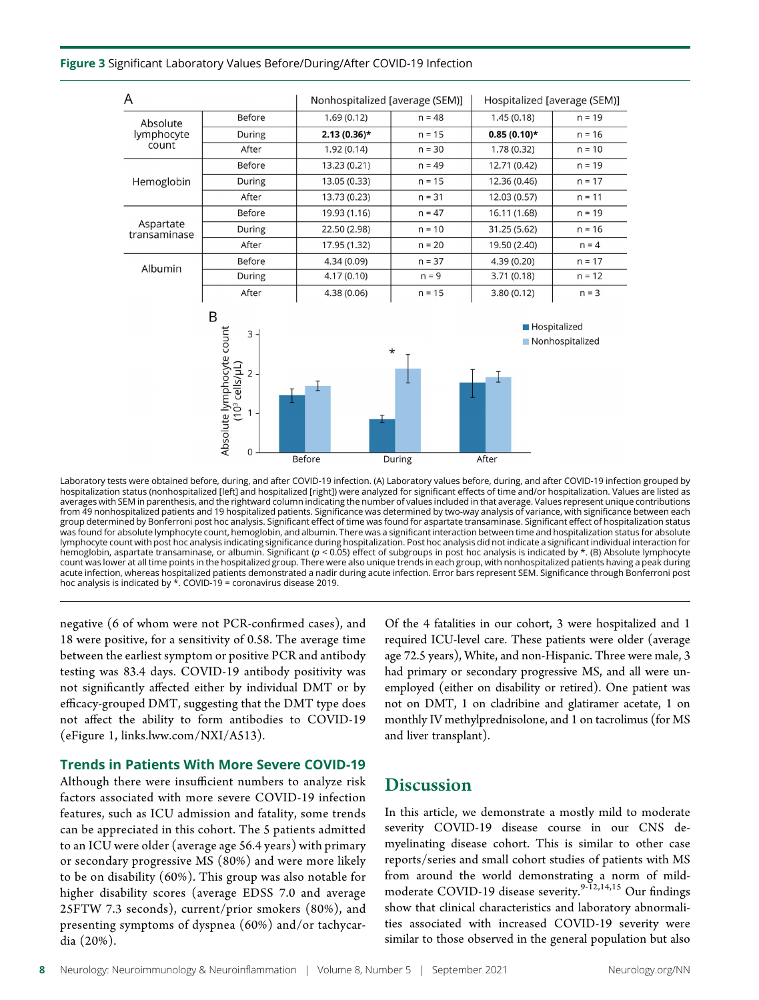#### Figure 3 Significant Laboratory Values Before/During/After COVID-19 Infection

| A                               |                                                                                     | Nonhospitalized [average (SEM)] |                    | Hospitalized [average (SEM)] |                                        |
|---------------------------------|-------------------------------------------------------------------------------------|---------------------------------|--------------------|------------------------------|----------------------------------------|
| Absolute<br>lymphocyte<br>count | Before                                                                              | 1.69(0.12)                      | $n = 48$           | 1.45(0.18)                   | $n = 19$                               |
|                                 | During                                                                              | $2.13(0.36)$ *                  | $n = 15$           | $0.85(0.10)*$                | $n = 16$                               |
|                                 | After                                                                               | 1.92(0.14)                      | $n = 30$           | 1.78(0.32)                   | $n = 10$                               |
|                                 | Before                                                                              | 13.23 (0.21)                    | $n = 49$           | 12.71 (0.42)                 | $n = 19$                               |
| Hemoglobin                      | During                                                                              | 13.05 (0.33)                    | $n = 15$           | 12.36 (0.46)                 | $n = 17$                               |
|                                 | After                                                                               | 13.73 (0.23)                    | $n = 31$           | 12.03 (0.57)                 | $n = 11$                               |
|                                 | <b>Before</b>                                                                       | 19.93 (1.16)                    | $n = 47$           | 16.11 (1.68)                 | $n = 19$                               |
| Aspartate<br>transaminase       | During                                                                              | 22.50 (2.98)                    | $n = 10$           | 31.25 (5.62)                 | $n = 16$                               |
|                                 | After                                                                               | 17.95 (1.32)                    | $n = 20$           | 19.50 (2.40)                 | $n = 4$                                |
| Albumin                         | Before                                                                              | 4.34 (0.09)                     | $n = 37$           | 4.39(0.20)                   | $n = 17$                               |
|                                 | During                                                                              | 4.17(0.10)                      | $n = 9$            | 3.71(0.18)                   | $n = 12$                               |
|                                 | After                                                                               | 4.38(0.06)                      | $n = 15$           | 3.80(0.12)                   | $n = 3$                                |
|                                 | B<br>Absolute lymphocyte count<br>(10 <sup>3</sup> cells/µL)<br>3<br>$2 \cdot$<br>0 | <b>Before</b>                   | $^\star$<br>During | After                        | <b>Hospitalized</b><br>Nonhospitalized |
|                                 |                                                                                     |                                 |                    |                              |                                        |

Laboratory tests were obtained before, during, and after COVID-19 infection. (A) Laboratory values before, during, and after COVID-19 infection grouped by hospitalization status (nonhospitalized [left] and hospitalized [right]) were analyzed for significant effects of time and/or hospitalization. Values are listed as averages with SEM in parenthesis, and the rightward column indicating the number of values included in that average. Values represent unique contributions from 49 nonhospitalized patients and 19 hospitalized patients. Significance was determined by two-way analysis of variance, with significance between each group determined by Bonferroni post hoc analysis. Significant effect of time was found for aspartate transaminase. Significant effect of hospitalization status was found for absolute lymphocyte count, hemoglobin, and albumin. There was a significant interaction between time and hospitalization status for absolute lymphocyte count with post hoc analysis indicating significance during hospitalization. Post hoc analysis did not indicate a significant individual interaction for<br>hemoglobin, aspartate transaminase, or albumin. Significan count was lower at all time points in the hospitalized group. There were also unique trends in each group, with nonhospitalized patients having a peak during acute infection, whereas hospitalized patients demonstrated a nadir during acute infection. Error bars represent SEM. Significance through Bonferroni post hoc analysis is indicated by  $\star$ . COVID-19 = coronavirus disease 2019.

negative (6 of whom were not PCR-confirmed cases), and 18 were positive, for a sensitivity of 0.58. The average time between the earliest symptom or positive PCR and antibody testing was 83.4 days. COVID-19 antibody positivity was not significantly affected either by individual DMT or by efficacy-grouped DMT, suggesting that the DMT type does not affect the ability to form antibodies to COVID-19 (eFigure 1, [links.lww.com/NXI/A513](http://links.lww.com/NXI/A513)).

#### Trends in Patients With More Severe COVID-19

Although there were insufficient numbers to analyze risk factors associated with more severe COVID-19 infection features, such as ICU admission and fatality, some trends can be appreciated in this cohort. The 5 patients admitted to an ICU were older (average age 56.4 years) with primary or secondary progressive MS (80%) and were more likely to be on disability (60%). This group was also notable for higher disability scores (average EDSS 7.0 and average 25FTW 7.3 seconds), current/prior smokers (80%), and presenting symptoms of dyspnea (60%) and/or tachycardia (20%).

Of the 4 fatalities in our cohort, 3 were hospitalized and 1 required ICU-level care. These patients were older (average age 72.5 years), White, and non-Hispanic. Three were male, 3 had primary or secondary progressive MS, and all were unemployed (either on disability or retired). One patient was not on DMT, 1 on cladribine and glatiramer acetate, 1 on monthly IV methylprednisolone, and 1 on tacrolimus (for MS and liver transplant).

# **Discussion**

In this article, we demonstrate a mostly mild to moderate severity COVID-19 disease course in our CNS demyelinating disease cohort. This is similar to other case reports/series and small cohort studies of patients with MS from around the world demonstrating a norm of mildmoderate COVID-19 disease severity.<sup>9-12,14,15</sup> Our findings show that clinical characteristics and laboratory abnormalities associated with increased COVID-19 severity were similar to those observed in the general population but also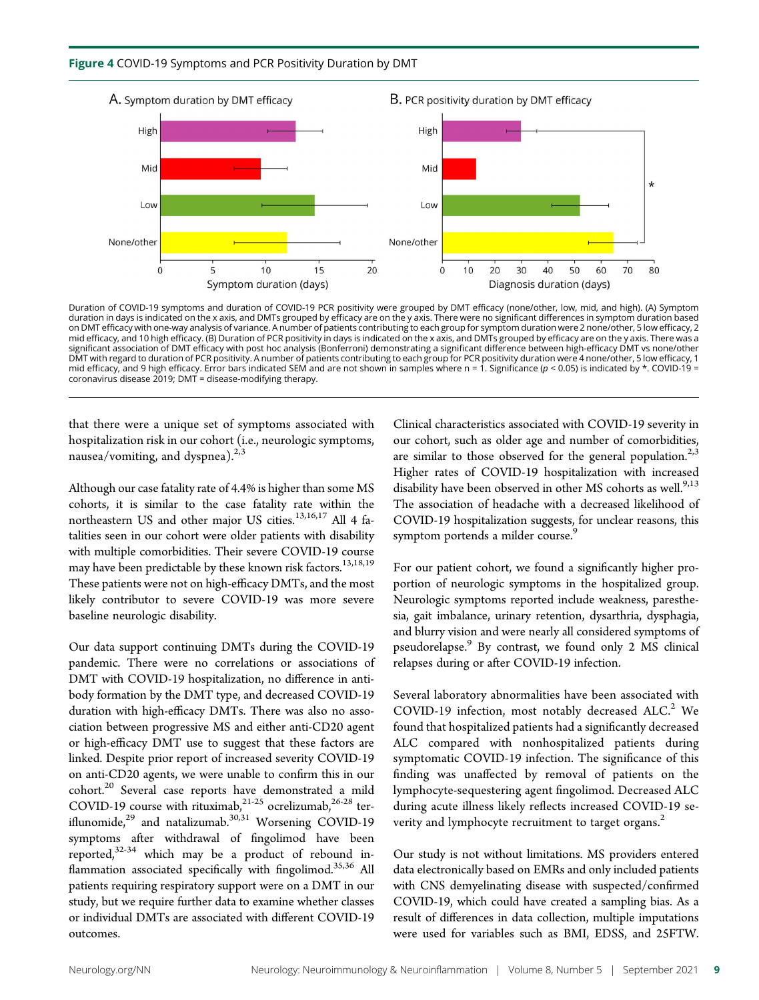#### Figure 4 COVID-19 Symptoms and PCR Positivity Duration by DMT



Duration of COVID-19 symptoms and duration of COVID-19 PCR positivity were grouped by DMT efficacy (none/other, low, mid, and high). (A) Symptom<br>duration in days is indicated on the x axis, and DMTs grouped by efficacy are on DMT efficacy with one-way analysis of variance. A number of patients contributing to each group for symptom duration were 2 none/other, 5 low efficacy, 2<br>mid efficacy, and 10 high efficacy. (B) Duration of PCR positivit significant association of DMT efficacy with post hoc analysis (Bonferroni) demonstrating a significant difference between high-efficacy DMT vs none/other DMT with regard to duration of PCR positivity. A number of patients contributing to each group for PCR positivity duration were 4 none/other, 5 low efficacy, 1 mid efficacy, and 9 high efficacy. Error bars indicated SEM and are not shown in samples where n = 1. Significance ( $p$  < 0.05) is indicated by \*. COVID-19 = coronavirus disease 2019; DMT = disease-modifying therapy.

that there were a unique set of symptoms associated with hospitalization risk in our cohort (i.e., neurologic symptoms, nausea/vomiting, and dyspnea). $2,3$ 

Although our case fatality rate of 4.4% is higher than some MS cohorts, it is similar to the case fatality rate within the northeastern US and other major US cities.<sup>13,16,17</sup> All 4 fatalities seen in our cohort were older patients with disability with multiple comorbidities. Their severe COVID-19 course may have been predictable by these known risk factors.<sup>13,18,19</sup> These patients were not on high-efficacy DMTs, and the most likely contributor to severe COVID-19 was more severe baseline neurologic disability.

Our data support continuing DMTs during the COVID-19 pandemic. There were no correlations or associations of DMT with COVID-19 hospitalization, no difference in antibody formation by the DMT type, and decreased COVID-19 duration with high-efficacy DMTs. There was also no association between progressive MS and either anti-CD20 agent or high-efficacy DMT use to suggest that these factors are linked. Despite prior report of increased severity COVID-19 on anti-CD20 agents, we were unable to confirm this in our cohort.<sup>20</sup> Several case reports have demonstrated a mild COVID-19 course with rituximab, $21-25$  ocrelizumab, $26-28$  teriflunomide, $^{29}$  and natalizumab. $^{30,31}$  Worsening COVID-19 symptoms after withdrawal of fingolimod have been reported,32-34 which may be a product of rebound inflammation associated specifically with fingolimod.<sup>35,36</sup> All patients requiring respiratory support were on a DMT in our study, but we require further data to examine whether classes or individual DMTs are associated with different COVID-19 outcomes.

Clinical characteristics associated with COVID-19 severity in our cohort, such as older age and number of comorbidities, are similar to those observed for the general population.<sup>2,3</sup> Higher rates of COVID-19 hospitalization with increased disability have been observed in other MS cohorts as well.<sup>9,13</sup> The association of headache with a decreased likelihood of COVID-19 hospitalization suggests, for unclear reasons, this symptom portends a milder course.<sup>9</sup>

For our patient cohort, we found a significantly higher proportion of neurologic symptoms in the hospitalized group. Neurologic symptoms reported include weakness, paresthesia, gait imbalance, urinary retention, dysarthria, dysphagia, and blurry vision and were nearly all considered symptoms of pseudorelapse.<sup>9</sup> By contrast, we found only 2 MS clinical relapses during or after COVID-19 infection.

Several laboratory abnormalities have been associated with COVID-19 infection, most notably decreased  $ALC<sup>2</sup>$  We found that hospitalized patients had a significantly decreased ALC compared with nonhospitalized patients during symptomatic COVID-19 infection. The significance of this finding was unaffected by removal of patients on the lymphocyte-sequestering agent fingolimod. Decreased ALC during acute illness likely reflects increased COVID-19 severity and lymphocyte recruitment to target organs.<sup>2</sup>

Our study is not without limitations. MS providers entered data electronically based on EMRs and only included patients with CNS demyelinating disease with suspected/confirmed COVID-19, which could have created a sampling bias. As a result of differences in data collection, multiple imputations were used for variables such as BMI, EDSS, and 25FTW.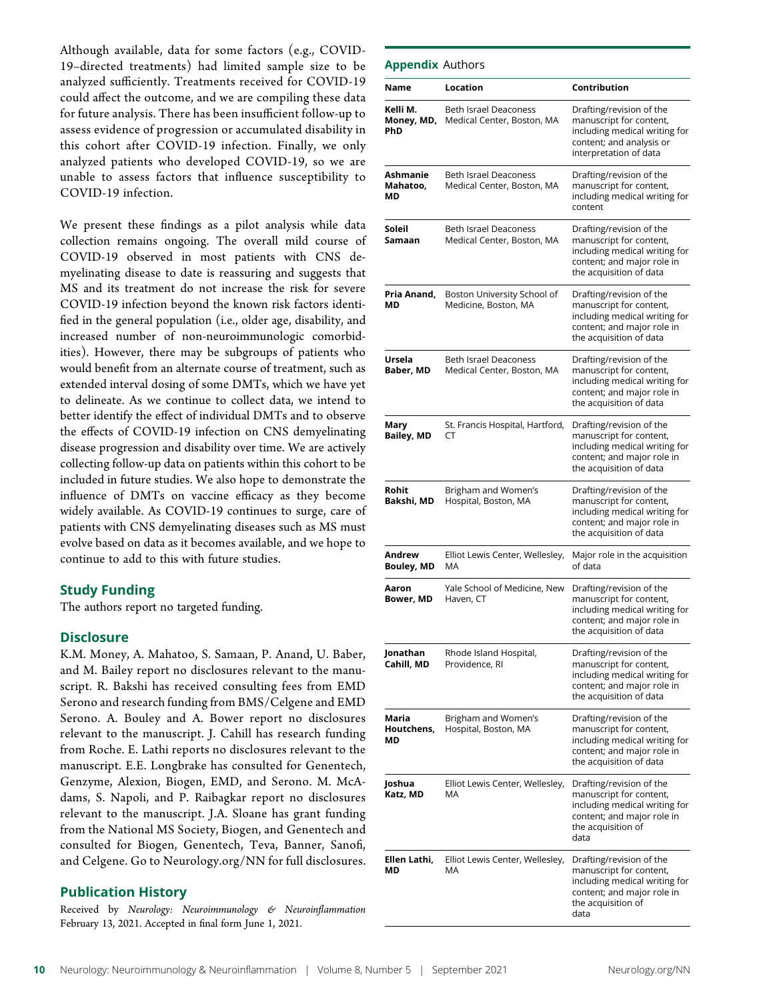Although available, data for some factors (e.g., COVID-19–directed treatments) had limited sample size to be analyzed sufficiently. Treatments received for COVID-19 could affect the outcome, and we are compiling these data for future analysis. There has been insufficient follow-up to assess evidence of progression or accumulated disability in this cohort after COVID-19 infection. Finally, we only analyzed patients who developed COVID-19, so we are unable to assess factors that influence susceptibility to COVID-19 infection.

We present these findings as a pilot analysis while data collection remains ongoing. The overall mild course of COVID-19 observed in most patients with CNS demyelinating disease to date is reassuring and suggests that MS and its treatment do not increase the risk for severe COVID-19 infection beyond the known risk factors identified in the general population (i.e., older age, disability, and increased number of non-neuroimmunologic comorbidities). However, there may be subgroups of patients who would benefit from an alternate course of treatment, such as extended interval dosing of some DMTs, which we have yet to delineate. As we continue to collect data, we intend to better identify the effect of individual DMTs and to observe the effects of COVID-19 infection on CNS demyelinating disease progression and disability over time. We are actively collecting follow-up data on patients within this cohort to be included in future studies. We also hope to demonstrate the influence of DMTs on vaccine efficacy as they become widely available. As COVID-19 continues to surge, care of patients with CNS demyelinating diseases such as MS must evolve based on data as it becomes available, and we hope to continue to add to this with future studies.

#### Study Funding

The authors report no targeted funding.

#### **Disclosure**

K.M. Money, A. Mahatoo, S. Samaan, P. Anand, U. Baber, and M. Bailey report no disclosures relevant to the manuscript. R. Bakshi has received consulting fees from EMD Serono and research funding from BMS/Celgene and EMD Serono. A. Bouley and A. Bower report no disclosures relevant to the manuscript. J. Cahill has research funding from Roche. E. Lathi reports no disclosures relevant to the manuscript. E.E. Longbrake has consulted for Genentech, Genzyme, Alexion, Biogen, EMD, and Serono. M. McAdams, S. Napoli, and P. Raibagkar report no disclosures relevant to the manuscript. J.A. Sloane has grant funding from the National MS Society, Biogen, and Genentech and consulted for Biogen, Genentech, Teva, Banner, Sanofi, and Celgene. Go to [Neurology.org/NN](https://nn.neurology.org/content/8/5/e1046/tab-article-info) for full disclosures.

#### Publication History

Received by Neurology: Neuroimmunology & Neuroinflammation February 13, 2021. Accepted in final form June 1, 2021.

| <b>Appendix Authors</b>       |                                                            |                                                                                                                                                  |
|-------------------------------|------------------------------------------------------------|--------------------------------------------------------------------------------------------------------------------------------------------------|
| Name                          | Location                                                   | Contribution                                                                                                                                     |
| Kelli M.<br>Money, MD,<br>PhD | <b>Beth Israel Deaconess</b><br>Medical Center, Boston, MA | Drafting/revision of the<br>manuscript for content,<br>including medical writing for<br>content; and analysis or<br>interpretation of data       |
| Ashmanie<br>Mahatoo,<br>МD    | <b>Beth Israel Deaconess</b><br>Medical Center, Boston, MA | Drafting/revision of the<br>manuscript for content,<br>including medical writing for<br>content                                                  |
| Soleil<br>Samaan              | <b>Beth Israel Deaconess</b><br>Medical Center, Boston, MA | Drafting/revision of the<br>manuscript for content,<br>including medical writing for<br>content; and major role in<br>the acquisition of data    |
| Pria Anand,<br>МD             | Boston University School of<br>Medicine, Boston, MA        | Drafting/revision of the<br>manuscript for content,<br>including medical writing for<br>content; and major role in<br>the acquisition of data    |
| Ursela<br>Baber, MD           | <b>Beth Israel Deaconess</b><br>Medical Center, Boston, MA | Drafting/revision of the<br>manuscript for content,<br>including medical writing for<br>content; and major role in<br>the acquisition of data    |
| Mary<br><b>Bailey, MD</b>     | St. Francis Hospital, Hartford,<br>CТ                      | Drafting/revision of the<br>manuscript for content,<br>including medical writing for<br>content; and major role in<br>the acquisition of data    |
| Rohit<br>Bakshi, MD           | Brigham and Women's<br>Hospital, Boston, MA                | Drafting/revision of the<br>manuscript for content,<br>including medical writing for<br>content; and major role in<br>the acquisition of data    |
| Andrew<br><b>Bouley, MD</b>   | Elliot Lewis Center, Wellesley,<br>МA                      | Major role in the acquisition<br>of data                                                                                                         |
| Aaron<br>Bower, MD            | Yale School of Medicine, New<br>Haven, CT                  | Drafting/revision of the<br>manuscript for content,<br>including medical writing for<br>content; and major role in<br>the acquisition of data    |
| Jonathan<br>Cahill, MD        | Rhode Island Hospital,<br>Providence, RI                   | Drafting/revision of the<br>manuscript for content,<br>including medical writing for<br>content; and major role in<br>the acquisition of data    |
| Maria<br>Houtchens,<br>МD     | Brigham and Women's<br>Hospital, Boston, MA                | Drafting/revision of the<br>manuscript for content,<br>including medical writing for<br>content; and major role in<br>the acquisition of data    |
| Joshua<br>Katz, MD            | Elliot Lewis Center, Wellesley,<br>МA                      | Drafting/revision of the<br>manuscript for content,<br>including medical writing for<br>content; and major role in<br>the acquisition of<br>data |
| Ellen Lathi,<br>МD            | Elliot Lewis Center, Wellesley,<br>МA                      | Drafting/revision of the<br>manuscript for content,<br>including medical writing for<br>content; and major role in<br>the acquisition of<br>data |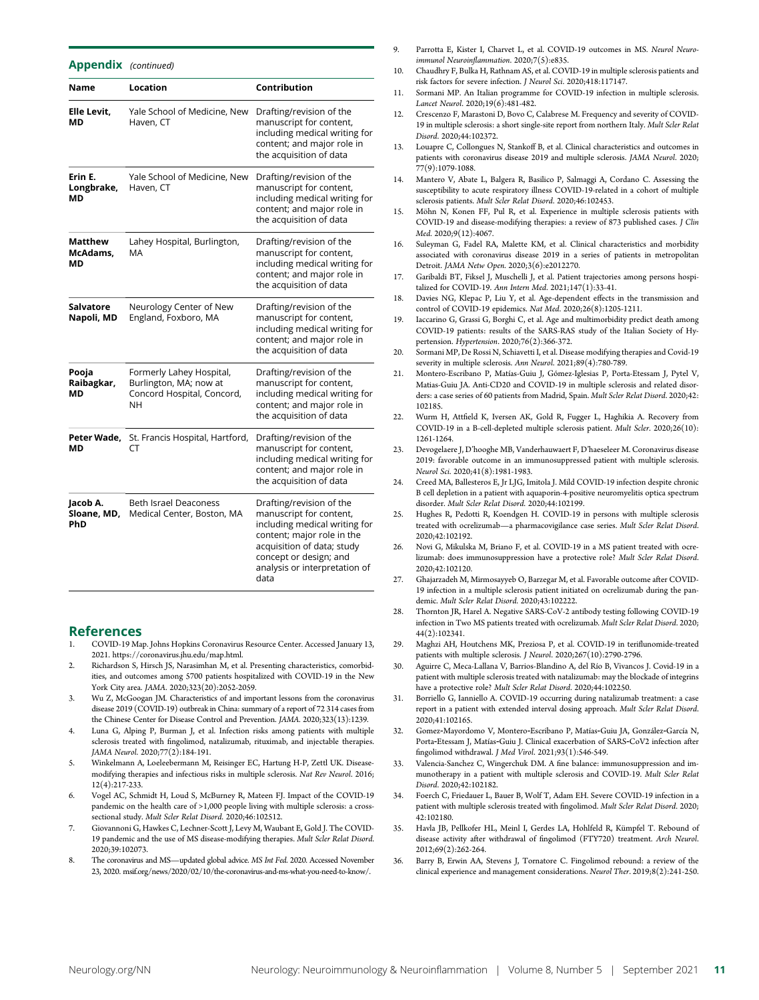| Appendix                       | (continued)                                                                            |                                                                                                                                                                                                                     |  |  |
|--------------------------------|----------------------------------------------------------------------------------------|---------------------------------------------------------------------------------------------------------------------------------------------------------------------------------------------------------------------|--|--|
| Name                           | Location                                                                               | Contribution                                                                                                                                                                                                        |  |  |
| Elle Levit,<br>МD              | Yale School of Medicine, New<br>Haven, CT                                              | Drafting/revision of the<br>manuscript for content,<br>including medical writing for<br>content; and major role in<br>the acquisition of data                                                                       |  |  |
| Erin E.<br>Longbrake,<br>МD    | Yale School of Medicine, New<br>Haven, CT                                              | Drafting/revision of the<br>manuscript for content,<br>including medical writing for<br>content; and major role in<br>the acquisition of data                                                                       |  |  |
| Matthew<br>McAdams,<br>МD      | Lahey Hospital, Burlington,<br>МA                                                      | Drafting/revision of the<br>manuscript for content,<br>including medical writing for<br>content; and major role in<br>the acquisition of data                                                                       |  |  |
| Salvatore<br>Napoli, MD        | Neurology Center of New<br>England, Foxboro, MA                                        | Drafting/revision of the<br>manuscript for content,<br>including medical writing for<br>content; and major role in<br>the acquisition of data                                                                       |  |  |
| Pooja<br>Raibagkar,<br>МD      | Formerly Lahey Hospital,<br>Burlington, MA; now at<br>Concord Hospital, Concord,<br>NΗ | Drafting/revision of the<br>manuscript for content,<br>including medical writing for<br>content; and major role in<br>the acquisition of data                                                                       |  |  |
| Peter Wade,<br>МD              | St. Francis Hospital, Hartford,<br>CT                                                  | Drafting/revision of the<br>manuscript for content,<br>including medical writing for<br>content; and major role in<br>the acquisition of data                                                                       |  |  |
| Jacob A.<br>Sloane, MD,<br>PhD | <b>Beth Israel Deaconess</b><br>Medical Center, Boston, MA                             | Drafting/revision of the<br>manuscript for content,<br>including medical writing for<br>content; major role in the<br>acquisition of data; study<br>concept or design; and<br>analysis or interpretation of<br>data |  |  |

#### References

- 1. COVID-19 Map. Johns Hopkins Coronavirus Resource Center. Accessed January 13, 2021.<https://coronavirus.jhu.edu/map.html>.
- 2. Richardson S, Hirsch JS, Narasimhan M, et al. Presenting characteristics, comorbidities, and outcomes among 5700 patients hospitalized with COVID-19 in the New York City area. JAMA. 2020;323(20):2052-2059.
- 3. Wu Z, McGoogan JM. Characteristics of and important lessons from the coronavirus disease 2019 (COVID-19) outbreak in China: summary of a report of 72 314 cases from the Chinese Center for Disease Control and Prevention. JAMA. 2020;323(13):1239.
- 4. Luna G, Alping P, Burman J, et al. Infection risks among patients with multiple sclerosis treated with fingolimod, natalizumab, rituximab, and injectable therapies. JAMA Neurol. 2020;77(2):184-191.
- 5. Winkelmann A, Loeleebermann M, Reisinger EC, Hartung H-P, Zettl UK. Diseasemodifying therapies and infectious risks in multiple sclerosis. Nat Rev Neurol. 2016; 12(4):217-233.
- 6. Vogel AC, Schmidt H, Loud S, McBurney R, Mateen FJ. Impact of the COVID-19 pandemic on the health care of >1,000 people living with multiple sclerosis: a crosssectional study. Mult Scler Relat Disord. 2020;46:102512.
- 7. Giovannoni G, Hawkes C, Lechner-Scott J, Levy M, Waubant E, Gold J. The COVID-19 pandemic and the use of MS disease-modifying therapies. Mult Scler Relat Disord. 2020;39:102073.
- The coronavirus and MS—updated global advice. MS Int Fed. 2020. Accessed November 23, 2020. [msif.org/news/2020/02/10/the-coronavirus-and-ms-what-you-need-to-know/.](http://msif.org/news/2020/02/10/the-coronavirus-and-ms-what-you-need-to-know/)
- 9. Parrotta E, Kister I, Charvet L, et al. COVID-19 outcomes in MS. Neurol Neuroimmunol Neuroinflammation. 2020;7(5):e835.
- 10. Chaudhry F, Bulka H, Rathnam AS, et al. COVID-19 in multiple sclerosis patients and risk factors for severe infection. J Neurol Sci. 2020;418:117147.
- 11. Sormani MP. An Italian programme for COVID-19 infection in multiple sclerosis. Lancet Neurol. 2020;19(6):481-482.
- 12. Crescenzo F, Marastoni D, Bovo C, Calabrese M. Frequency and severity of COVID-19 in multiple sclerosis: a short single-site report from northern Italy. Mult Scler Relat Disord. 2020;44:102372.
- 13. Louapre C, Collongues N, Stankoff B, et al. Clinical characteristics and outcomes in patients with coronavirus disease 2019 and multiple sclerosis. JAMA Neurol. 2020; 77(9):1079-1088.
- 14. Mantero V, Abate L, Balgera R, Basilico P, Salmaggi A, Cordano C. Assessing the susceptibility to acute respiratory illness COVID-19-related in a cohort of multiple sclerosis patients. Mult Scler Relat Disord. 2020;46:102453.
- 15. Möhn N, Konen FF, Pul R, et al. Experience in multiple sclerosis patients with COVID-19 and disease-modifying therapies: a review of 873 published cases. J Clin Med. 2020;9(12):4067.
- 16. Suleyman G, Fadel RA, Malette KM, et al. Clinical characteristics and morbidity associated with coronavirus disease 2019 in a series of patients in metropolitan Detroit. JAMA Netw Open. 2020;3(6):e2012270.
- 17. Garibaldi BT, Fiksel J, Muschelli J, et al. Patient trajectories among persons hospitalized for COVID-19. Ann Intern Med. 2021;147(1):33-41.
- 18. Davies NG, Klepac P, Liu Y, et al. Age-dependent effects in the transmission and control of COVID-19 epidemics. Nat Med. 2020;26(8):1205-1211.
- 19. Iaccarino G, Grassi G, Borghi C, et al. Age and multimorbidity predict death among COVID-19 patients: results of the SARS-RAS study of the Italian Society of Hypertension. Hypertension. 2020;76(2):366-372.
- 20. Sormani MP, De Rossi N, Schiavetti I, et al. Disease modifying therapies and Covid-19 severity in multiple sclerosis. Ann Neurol. 2021;89(4):780-789.
- 21. Montero-Escribano P, Matías-Guiu J, Gómez-Iglesias P, Porta-Etessam J, Pytel V, Matias-Guiu JA. Anti-CD20 and COVID-19 in multiple sclerosis and related disorders: a case series of 60 patients from Madrid, Spain. Mult Scler Relat Disord. 2020;42: 102185.
- 22. Wurm H, Attfield K, Iversen AK, Gold R, Fugger L, Haghikia A. Recovery from COVID-19 in a B-cell-depleted multiple sclerosis patient. Mult Scler. 2020;26(10): 1261-1264.
- 23. Devogelaere J, D'hooghe MB, Vanderhauwaert F, D'haeseleer M. Coronavirus disease 2019: favorable outcome in an immunosuppressed patient with multiple sclerosis. Neurol Sci. 2020;41(8):1981-1983.
- 24. Creed MA, Ballesteros E, Jr LJG, Imitola J. Mild COVID-19 infection despite chronic B cell depletion in a patient with aquaporin-4-positive neuromyelitis optica spectrum disorder. Mult Scler Relat Disord. 2020;44:102199.
- 25. Hughes R, Pedotti R, Koendgen H. COVID-19 in persons with multiple sclerosis treated with ocrelizumab—a pharmacovigilance case series. Mult Scler Relat Disord. 2020;42:102192.
- 26. Novi G, Mikulska M, Briano F, et al. COVID-19 in a MS patient treated with ocrelizumab: does immunosuppression have a protective role? Mult Scler Relat Disord. 2020;42:102120.
- 27. Ghajarzadeh M, Mirmosayyeb O, Barzegar M, et al. Favorable outcome after COVID-19 infection in a multiple sclerosis patient initiated on ocrelizumab during the pandemic. Mult Scler Relat Disord. 2020;43:102222.
- 28. Thornton JR, Harel A. Negative SARS-CoV-2 antibody testing following COVID-19 infection in Two MS patients treated with ocrelizumab. Mult Scler Relat Disord. 2020; 44(2):102341.
- 29. Maghzi AH, Houtchens MK, Preziosa P, et al. COVID-19 in teriflunomide-treated patients with multiple sclerosis. J Neurol. 2020;267(10):2790-2796.
- 30. Aguirre C, Meca-Lallana V, Barrios-Blandino A, del Río B, Vivancos J. Covid-19 in a patient with multiple sclerosis treated with natalizumab: may the blockade of integrins have a protective role? Mult Scler Relat Disord. 2020;44:102250.
- 31. Borriello G, Ianniello A. COVID-19 occurring during natalizumab treatment: a case report in a patient with extended interval dosing approach. Mult Scler Relat Disord. 2020;41:102165.
- 32. Gomez-Mayordomo V, Montero-Escribano P, Matías-Guiu JA, González-García N, Porta-Etessam J, Matías-Guiu J. Clinical exacerbation of SARS-CoV2 infection after fingolimod withdrawal. J Med Virol. 2021;93(1):546-549.
- 33. Valencia-Sanchez C, Wingerchuk DM. A fine balance: immunosuppression and immunotherapy in a patient with multiple sclerosis and COVID-19. Mult Scler Relat Disord. 2020;42:102182.
- 34. Foerch C, Friedauer L, Bauer B, Wolf T, Adam EH. Severe COVID-19 infection in a patient with multiple sclerosis treated with fingolimod. Mult Scler Relat Disord. 2020; 42:102180.
- 35. Havla JB, Pellkofer HL, Meinl I, Gerdes LA, Hohlfeld R, Kümpfel T. Rebound of disease activity after withdrawal of fingolimod (FTY720) treatment. Arch Neurol. 2012;69(2):262-264.
- 36. Barry B, Erwin AA, Stevens J, Tornatore C. Fingolimod rebound: a review of the clinical experience and management considerations. Neurol Ther. 2019;8(2):241-250.